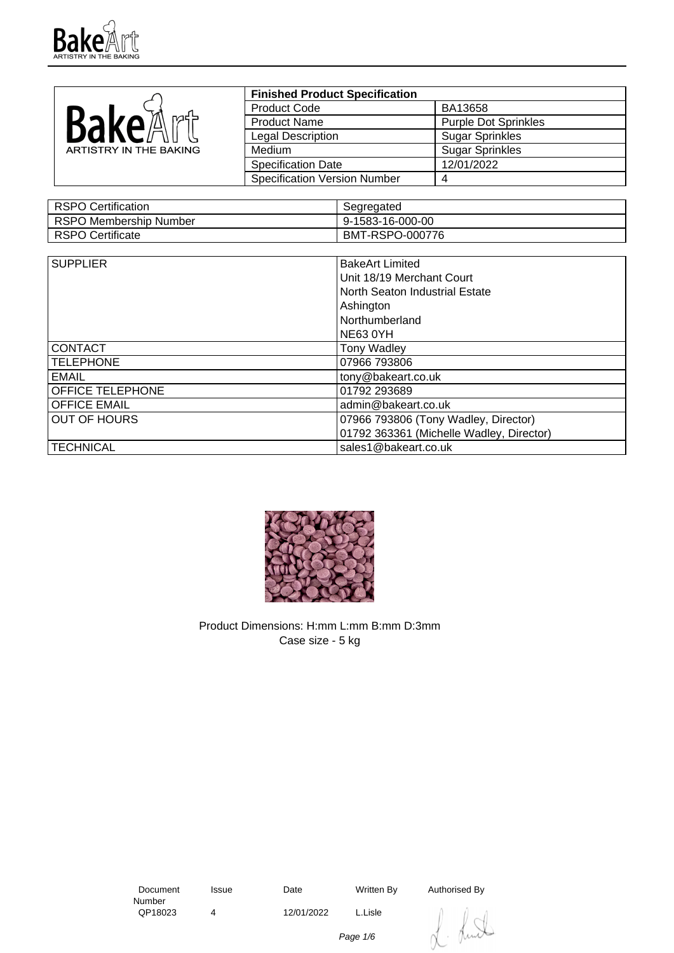

|                        | <b>Finished Product Specification</b> |                             |
|------------------------|---------------------------------------|-----------------------------|
|                        | <b>Product Code</b>                   | BA13658                     |
| <b>BAKAA</b>           | <b>Product Name</b>                   | <b>Purple Dot Sprinkles</b> |
|                        | Legal Description                     | <b>Sugar Sprinkles</b>      |
| ARTISTRY IN THE BAKING | <b>Medium</b>                         | <b>Sugar Sprinkles</b>      |
|                        | <b>Specification Date</b>             | 12/01/2022                  |
|                        | <b>Specification Version Number</b>   |                             |

| RSPO Certification     | Segregated       |
|------------------------|------------------|
| RSPO Membership Number | 9-1583-16-000-00 |
| RSPO Certificate       | BMT-RSPO-000776  |

| <b>SUPPLIER</b>         | <b>BakeArt Limited</b>                   |  |
|-------------------------|------------------------------------------|--|
|                         | Unit 18/19 Merchant Court                |  |
|                         | North Seaton Industrial Estate           |  |
|                         | Ashington                                |  |
|                         | Northumberland                           |  |
|                         | <b>NE63 0YH</b>                          |  |
| <b>CONTACT</b>          | <b>Tony Wadley</b>                       |  |
| <b>TELEPHONE</b>        | 07966 793806                             |  |
| <b>EMAIL</b>            | tony@bakeart.co.uk                       |  |
| <b>OFFICE TELEPHONE</b> | 01792 293689                             |  |
| <b>OFFICE EMAIL</b>     | admin@bakeart.co.uk                      |  |
| <b>OUT OF HOURS</b>     | 07966 793806 (Tony Wadley, Director)     |  |
|                         | 01792 363361 (Michelle Wadley, Director) |  |
| <b>TECHNICAL</b>        | sales1@bakeart.co.uk                     |  |



Product Dimensions: H:mm L:mm B:mm D:3mm Case size - 5 kg

 Document Number<br>QP18023

4 12/01/2022 L.Lisle

Issue Date Written By Authorised By

Lund

Page 1/6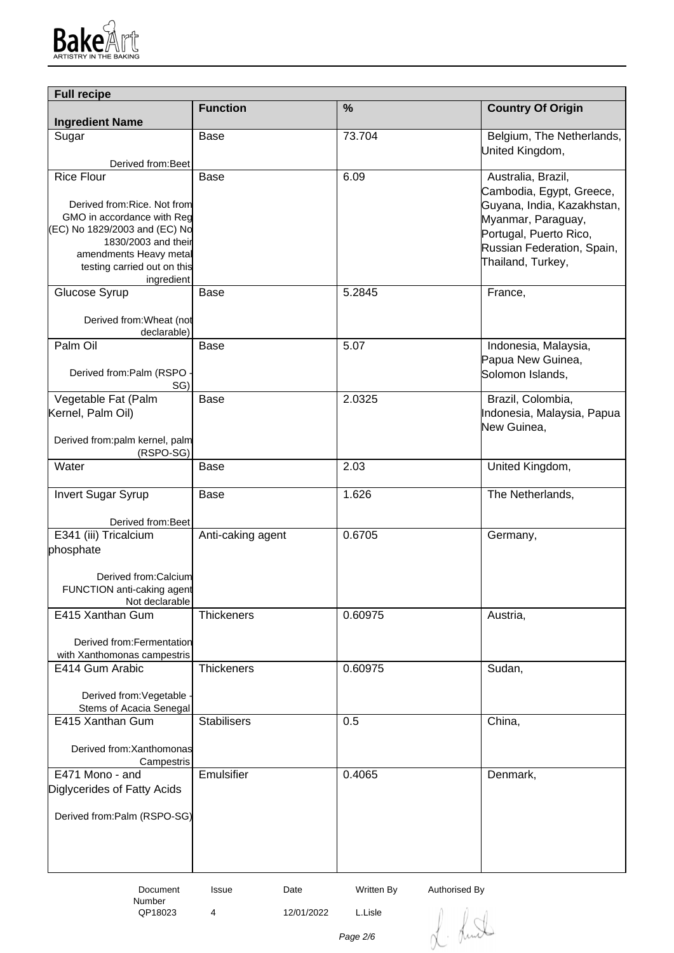

| <b>Full recipe</b>                                        |                      |               |                            |
|-----------------------------------------------------------|----------------------|---------------|----------------------------|
| <b>Ingredient Name</b>                                    | <b>Function</b>      | $\frac{0}{0}$ | <b>Country Of Origin</b>   |
| Sugar                                                     | Base                 | 73.704        | Belgium, The Netherlands,  |
|                                                           |                      |               | United Kingdom,            |
| Derived from: Beet<br><b>Rice Flour</b>                   | Base                 | 6.09          | Australia, Brazil,         |
|                                                           |                      |               | Cambodia, Egypt, Greece,   |
| Derived from: Rice. Not from                              |                      |               | Guyana, India, Kazakhstan, |
| GMO in accordance with Reg                                |                      |               | Myanmar, Paraguay,         |
| (EC) No 1829/2003 and (EC) No<br>1830/2003 and their      |                      |               | Portugal, Puerto Rico,     |
| amendments Heavy metal                                    |                      |               | Russian Federation, Spain, |
| testing carried out on this                               |                      |               | Thailand, Turkey,          |
| ingredient<br>Glucose Syrup                               | Base                 | 5.2845        | France,                    |
|                                                           |                      |               |                            |
| Derived from: Wheat (not<br>declarable)                   |                      |               |                            |
| Palm Oil                                                  | Base                 | 5.07          | Indonesia, Malaysia,       |
|                                                           |                      |               | Papua New Guinea,          |
| Derived from:Palm (RSPO<br>SG)                            |                      |               | Solomon Islands,           |
| Vegetable Fat (Palm                                       | Base                 | 2.0325        | Brazil, Colombia,          |
| Kernel, Palm Oil)                                         |                      |               | Indonesia, Malaysia, Papua |
|                                                           |                      |               | New Guinea,                |
| Derived from:palm kernel, palm<br>(RSPO-SG)               |                      |               |                            |
| Water                                                     | Base                 | 2.03          | United Kingdom,            |
|                                                           |                      |               |                            |
| <b>Invert Sugar Syrup</b>                                 | Base                 | 1.626         | The Netherlands,           |
| Derived from: Beet                                        |                      |               |                            |
| E341 (iii) Tricalcium                                     | Anti-caking agent    | 0.6705        | Germany,                   |
| phosphate                                                 |                      |               |                            |
|                                                           |                      |               |                            |
| Derived from:Calcium<br>FUNCTION anti-caking agent        |                      |               |                            |
| Not declarable                                            |                      |               |                            |
| E415 Xanthan Gum                                          | <b>Thickeners</b>    | 0.60975       | Austria,                   |
|                                                           |                      |               |                            |
| Derived from: Fermentation<br>with Xanthomonas campestris |                      |               |                            |
| E414 Gum Arabic                                           | <b>Thickeners</b>    | 0.60975       | Sudan,                     |
|                                                           |                      |               |                            |
| Derived from: Vegetable                                   |                      |               |                            |
| Stems of Acacia Senegal<br>E415 Xanthan Gum               | <b>Stabilisers</b>   | 0.5           | China,                     |
|                                                           |                      |               |                            |
| Derived from: Xanthomonas                                 |                      |               |                            |
| Campestris<br>E471 Mono - and                             | Emulsifier           | 0.4065        |                            |
| Diglycerides of Fatty Acids                               |                      |               | Denmark,                   |
|                                                           |                      |               |                            |
| Derived from:Palm (RSPO-SG)                               |                      |               |                            |
|                                                           |                      |               |                            |
|                                                           |                      |               |                            |
|                                                           |                      |               |                            |
| Document                                                  | <b>Issue</b><br>Date | Written By    | Authorised By              |

Number<br>QP18023

4 12/01/2022 L.Lisle

L. Lund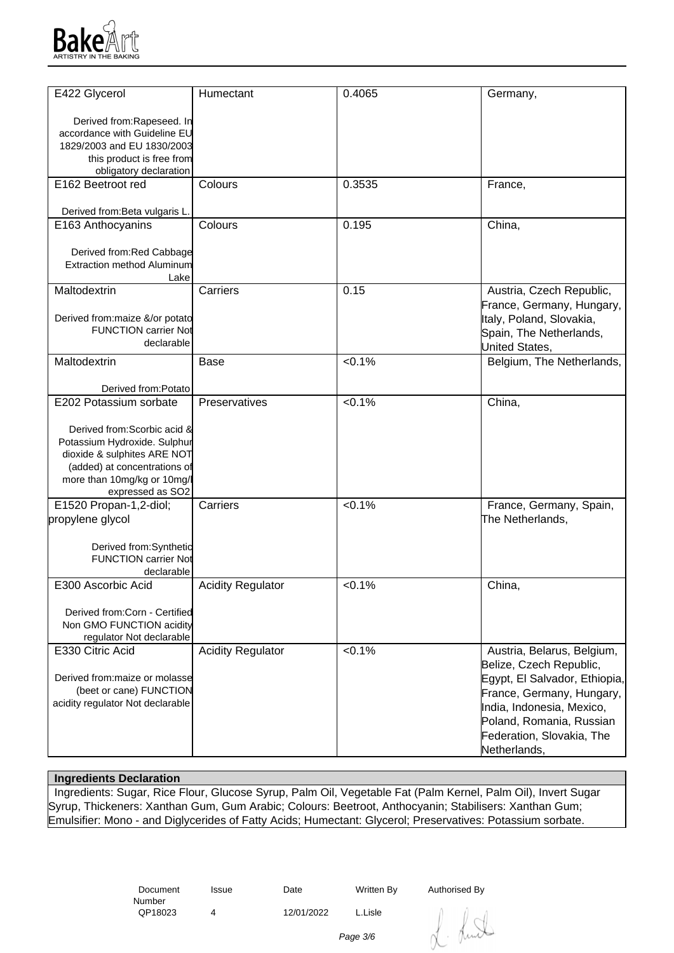

| E422 Glycerol                             | Humectant                | 0.4065    | Germany,                      |
|-------------------------------------------|--------------------------|-----------|-------------------------------|
| Derived from:Rapeseed. In                 |                          |           |                               |
| accordance with Guideline EU              |                          |           |                               |
| 1829/2003 and EU 1830/2003                |                          |           |                               |
| this product is free from                 |                          |           |                               |
| obligatory declaration                    |                          |           |                               |
| E162 Beetroot red                         | Colours                  | 0.3535    | France,                       |
|                                           |                          |           |                               |
| Derived from: Beta vulgaris L.            |                          |           |                               |
| E163 Anthocyanins                         | Colours                  | 0.195     | China,                        |
|                                           |                          |           |                               |
| Derived from:Red Cabbage                  |                          |           |                               |
| <b>Extraction method Aluminum</b>         |                          |           |                               |
| Lake                                      |                          |           |                               |
| Maltodextrin                              | Carriers                 | 0.15      | Austria, Czech Republic,      |
|                                           |                          |           | France, Germany, Hungary,     |
| Derived from: maize &/or potato           |                          |           | Italy, Poland, Slovakia,      |
| <b>FUNCTION carrier Not</b>               |                          |           | Spain, The Netherlands,       |
| declarable                                |                          |           | United States,                |
| Maltodextrin                              | Base                     | < 0.1%    | Belgium, The Netherlands,     |
|                                           |                          |           |                               |
| Derived from:Potato                       |                          |           |                               |
| E202 Potassium sorbate                    | Preservatives            | < 0.1%    | China,                        |
|                                           |                          |           |                               |
| Derived from: Scorbic acid &              |                          |           |                               |
| Potassium Hydroxide. Sulphur              |                          |           |                               |
| dioxide & sulphites ARE NOT               |                          |           |                               |
| (added) at concentrations of              |                          |           |                               |
| more than 10mg/kg or 10mg/l               |                          |           |                               |
| expressed as SO2                          |                          |           |                               |
| E1520 Propan-1,2-diol;                    | Carriers                 | < 0.1%    | France, Germany, Spain,       |
| propylene glycol                          |                          |           | The Netherlands,              |
|                                           |                          |           |                               |
| Derived from:Synthetic                    |                          |           |                               |
| <b>FUNCTION carrier Not</b><br>declarable |                          |           |                               |
| E300 Ascorbic Acid                        | <b>Acidity Regulator</b> | $< 0.1\%$ | China,                        |
|                                           |                          |           |                               |
| Derived from:Corn - Certified             |                          |           |                               |
| Non GMO FUNCTION acidity                  |                          |           |                               |
| regulator Not declarable                  |                          |           |                               |
| E330 Citric Acid                          | <b>Acidity Regulator</b> | < 0.1%    | Austria, Belarus, Belgium,    |
|                                           |                          |           | Belize, Czech Republic,       |
| Derived from: maize or molasse            |                          |           | Egypt, El Salvador, Ethiopia, |
| (beet or cane) FUNCTION                   |                          |           | France, Germany, Hungary,     |
| acidity regulator Not declarable          |                          |           | India, Indonesia, Mexico,     |
|                                           |                          |           | Poland, Romania, Russian      |
|                                           |                          |           | Federation, Slovakia, The     |
|                                           |                          |           |                               |
|                                           |                          |           | Netherlands,                  |

## **Ingredients Declaration**

 Ingredients: Sugar, Rice Flour, Glucose Syrup, Palm Oil, Vegetable Fat (Palm Kernel, Palm Oil), Invert Sugar Syrup, Thickeners: Xanthan Gum, Gum Arabic; Colours: Beetroot, Anthocyanin; Stabilisers: Xanthan Gum; Emulsifier: Mono - and Diglycerides of Fatty Acids; Humectant: Glycerol; Preservatives: Potassium sorbate.

> Document Number<br>QP18023

Issue Date Written By Authorised By

4 12/01/2022 L.Lisle

dunt

Page 3/6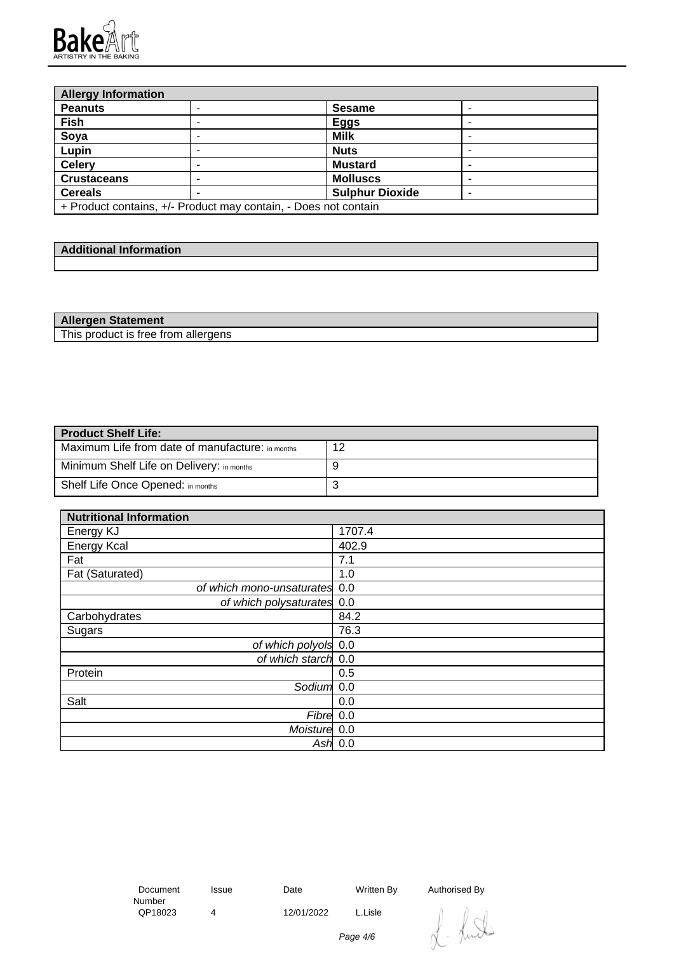

| <b>Allergy Information</b>                                      |  |                        |  |
|-----------------------------------------------------------------|--|------------------------|--|
| <b>Peanuts</b>                                                  |  | <b>Sesame</b>          |  |
| Fish                                                            |  | <b>Eggs</b>            |  |
| Soya                                                            |  | <b>Milk</b>            |  |
| Lupin                                                           |  | <b>Nuts</b>            |  |
| <b>Celery</b>                                                   |  | <b>Mustard</b>         |  |
| <b>Crustaceans</b>                                              |  | <b>Molluscs</b>        |  |
| <b>Cereals</b>                                                  |  | <b>Sulphur Dioxide</b> |  |
| + Product contains, +/- Product may contain, - Does not contain |  |                        |  |

| والمحدود والمسارات والمستحدث<br>----<br><b>Additional Information</b> |  |
|-----------------------------------------------------------------------|--|
|                                                                       |  |

| <b>Allergen Statement</b>           |  |
|-------------------------------------|--|
| This product is free from allergens |  |

| <b>Product Shelf Life:</b>                       |    |  |  |
|--------------------------------------------------|----|--|--|
| Maximum Life from date of manufacture: in months | 12 |  |  |
| Minimum Shelf Life on Delivery: in months        |    |  |  |
| Shelf Life Once Opened: in months                | ັ  |  |  |

| <b>Nutritional Information</b> |           |
|--------------------------------|-----------|
| Energy KJ                      | 1707.4    |
| <b>Energy Kcal</b>             | 402.9     |
| Fat                            | 7.1       |
| Fat (Saturated)                | 1.0       |
| of which mono-unsaturates 0.0  |           |
| of which polysaturates 0.0     |           |
| Carbohydrates                  | 84.2      |
| Sugars                         | 76.3      |
| of which polyols 0.0           |           |
| of which starch 0.0            |           |
| Protein                        | 0.5       |
| Sodium <sup>1</sup> 0.0        |           |
| Salt                           | 0.0       |
| Fibre 0.0                      |           |
| Moisture 0.0                   |           |
|                                | Ash $0.0$ |

 Document Number<br>QP18023

4 12/01/2022 L.Lisle

Issue Date Written By Authorised By



Page 4/6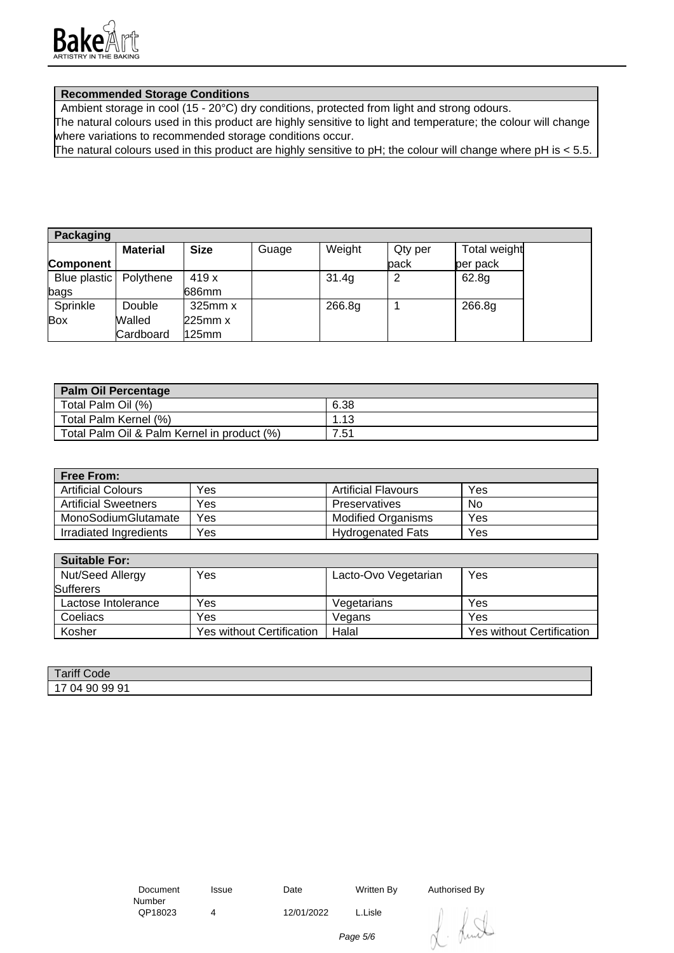

## **Recommended Storage Conditions**

Ambient storage in cool (15 - 20°C) dry conditions, protected from light and strong odours.

The natural colours used in this product are highly sensitive to light and temperature; the colour will change where variations to recommended storage conditions occur.

The natural colours used in this product are highly sensitive to pH; the colour will change where pH is < 5.5.

| <b>Packaging</b>         |                 |              |       |        |         |              |
|--------------------------|-----------------|--------------|-------|--------|---------|--------------|
|                          | <b>Material</b> | <b>Size</b>  | Guage | Weight | Qty per | Total weight |
| Component                |                 |              |       |        | back    | per pack     |
| Blue plastic   Polythene |                 | 419 x        |       | 31.4g  |         | 62.8g        |
| bags                     |                 | 686mm        |       |        |         |              |
| Sprinkle                 | Double          | $325$ mm $x$ |       | 266.8g |         | 266.8g       |
| Box                      | Walled          | 225mm x      |       |        |         |              |
|                          | Cardboard       | 125mm        |       |        |         |              |

| <b>Palm Oil Percentage</b>                  |      |
|---------------------------------------------|------|
| Total Palm Oil (%)                          | 6.38 |
| Total Palm Kernel (%)                       | .13  |
| Total Palm Oil & Palm Kernel in product (%) | 7.51 |

| <b>Free From:</b>           |     |                            |     |
|-----------------------------|-----|----------------------------|-----|
| <b>Artificial Colours</b>   | Yes | <b>Artificial Flavours</b> | Yes |
| <b>Artificial Sweetners</b> | Yes | Preservatives              | No  |
| MonoSodiumGlutamate         | Yes | <b>Modified Organisms</b>  | Yes |
| Irradiated Ingredients      | Yes | <b>Hydrogenated Fats</b>   | Yes |

| <b>Suitable For:</b> |                                  |                      |                                  |
|----------------------|----------------------------------|----------------------|----------------------------------|
| Nut/Seed Allergy     | Yes                              | Lacto-Ovo Vegetarian | Yes                              |
| <b>Sufferers</b>     |                                  |                      |                                  |
| Lactose Intolerance  | Yes                              | Vegetarians          | Yes                              |
| Coeliacs             | Yes                              | Vegans               | Yes                              |
| Kosher               | <b>Yes without Certification</b> | Halal                | <b>Yes without Certification</b> |

| Tariff Cu<br>Code                     |  |
|---------------------------------------|--|
| .99.91<br>-90<br>ገ⊿<br>$\cdot$<br>. . |  |

4 12/01/2022 L.Lisle

Issue Date Written By Authorised By



Page 5/6